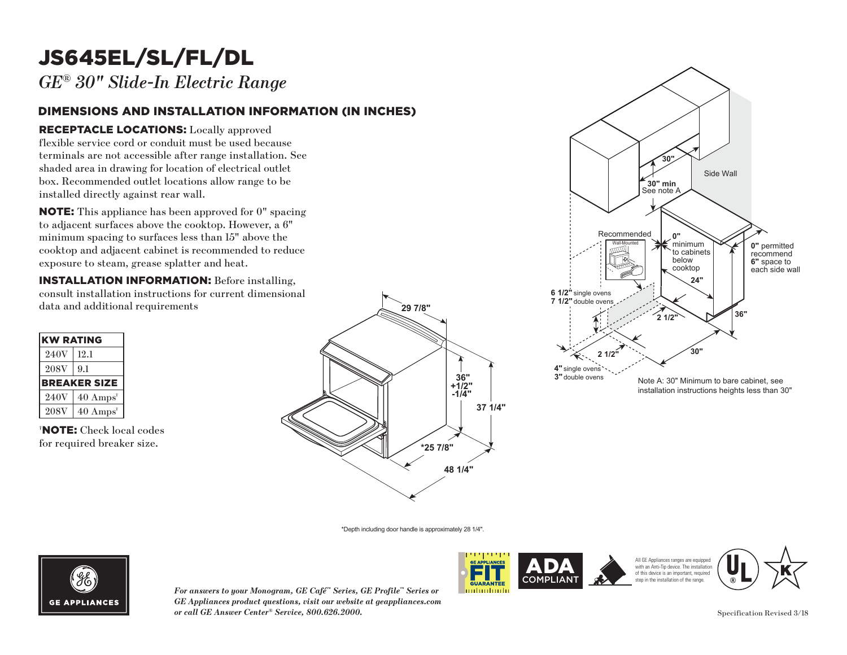## JS645EL/SL/FL/DL

*GE® 30" Slide-In Electric Range*

### DIMENSIONS AND INSTALLATION INFORMATION (IN INCHES)

### RECEPTACLE LOCATIONS: Locally approved

flexible service cord or conduit must be used because terminals are not accessible after range installation. See **30"** shaded area in drawing for location of electrical outlet box. Recommended outlet locations allow range to be installed directly against rear wall. must be used becauter range installation<br>tion of electrical out<br>tions allow range to<br>wall.<br>n approved for 0" sp<br>cooktop. However, a **30" min**

NOTE: This appliance has been approved for 0" spacing to adjacent surfaces above the cooktop. However, a 6"  $\min$  spacing to surfaces less than  $15"$  above the minimum spacing to sarraces ress than 15 associate exposure to steam, grease splatter and heat. ase sp Recommended

**INSTALLATION INFORMATION:** Before installing, consult installation instructions for current dimensional data and additional requirements

| <b>KW RATING</b> |                             |
|------------------|-----------------------------|
| 240V             | 12.1                        |
| <b>208V</b>      | 9.1                         |
|                  | <b>BREAKER SIZE</b>         |
| 240V             | $40 \text{ Amps}^{\dagger}$ |
| <b>208V</b>      | $40 \text{ Amps}^{\dagger}$ |

† NOTE: Check local codes for required breaker size.





\*Depth including door handle is approximately 28 1/4".



*For answers to your Monogram, GE Café™ Series, GE Profile™ Series or GE Appliances product questions, visit our website at geappliances.com or call GE Answer Center® Service, 800.626.2000.* Specification Revised 3/18